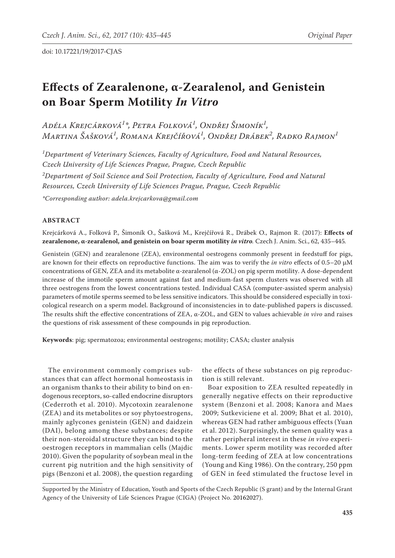# **Effects of Zearalenone, α-Zearalenol, and Genistein on Boar Sperm Motility** *In Vitro*

*Adéla Krejcárková<sup>1</sup> \*, Petra Folková<sup>1</sup> , Ondřej Šimoník<sup>1</sup> , Martina Šašková<sup>1</sup> , Romana Krejčířová<sup>1</sup> , Ondřej Drábek<sup>2</sup> , Radko Rajmon<sup>1</sup>*

*1 Department of Veterinary Sciences, Faculty of Agriculture, Food and Natural Resources, Czech University of Life Sciences Prague, Prague, Czech Republic*

*2 Department of Soil Science and Soil Protection, Faculty of Agriculture, Food and Natural Resources, Czech University of Life Sciences Prague, Prague, Czech Republic*

*\*Corresponding author: adela.krejcarkova@gmail.com*

## **ABSTRACT**

Krejcárková A., Folková P., Šimoník O., Šašková M., Krejčířová R., Drábek O., Rajmon R. (2017): **Effects of zearalenone, α-zearalenol, and genistein on boar sperm motility** *in vitro.* Czech J. Anim. Sci., 62, 435–445*.*

Genistein (GEN) and zearalenone (ZEA), environmental oestrogens commonly present in feedstuff for pigs, are known for their effects on reproductive functions. The aim was to verify the *in vitro* effects of 0.5–20 µM concentrations of GEN, ZEA and its metabolite α-zearalenol (α-ZOL) on pig sperm motility. A dose-dependent increase of the immotile sperm amount against fast and medium-fast sperm clusters was observed with all three oestrogens from the lowest concentrations tested. Individual CASA (computer-assisted sperm analysis) parameters of motile sperms seemed to be less sensitive indicators. This should be considered especially in toxicological research on a sperm model. Background of inconsistencies in to date-published papers is discussed. The results shift the effective concentrations of ZEA, α-ZOL, and GEN to values achievable *in vivo* and raises the questions of risk assessment of these compounds in pig reproduction.

**Keywords**: pig; spermatozoa; environmental oestrogens; motility; CASA; cluster analysis

The environment commonly comprises substances that can affect hormonal homeostasis in an organism thanks to their ability to bind on endogenous receptors, so-called endocrine disruptors (Cederroth et al. 2010). Mycotoxin zearalenone (ZEA) and its metabolites or soy phytoestrogens, mainly aglycones genistein (GEN) and daidzein (DAI), belong among these substances; despite their non-steroidal structure they can bind to the oestrogen receptors in mammalian cells (Majdic 2010). Given the popularity of soybean meal in the current pig nutrition and the high sensitivity of pigs (Benzoni et al. 2008), the question regarding

the effects of these substances on pig reproduction is still relevant.

Boar exposition to ZEA resulted repeatedly in generally negative effects on their reproductive system (Benzoni et al. 2008; Kanora and Maes 2009; Sutkeviciene et al. 2009; Bhat et al. 2010), whereas GEN had rather ambiguous effects (Yuan et al. 2012). Surprisingly, the semen quality was a rather peripheral interest in these *in vivo* experiments. Lower sperm motility was recorded after long-term feeding of ZEA at low concentrations (Young and King 1986). On the contrary, 250 ppm of GEN in feed stimulated the fructose level in

Supported by the Ministry of Education, Youth and Sports of the Czech Republic (S grant) and by the Internal Grant Agency of the University of Life Sciences Prague (CIGA) (Project No. 20162027).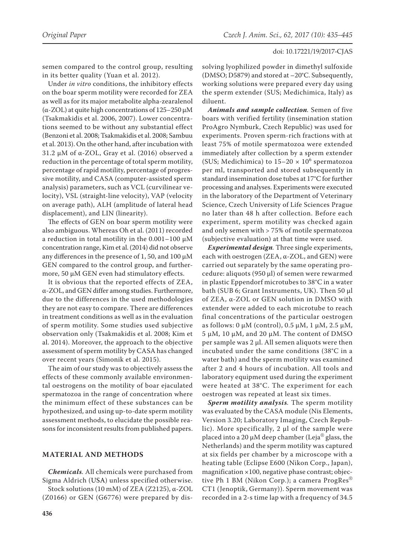semen compared to the control group, resulting in its better quality (Yuan et al. 2012).

Under *in vitro* conditions, the inhibitory effects on the boar sperm motility were recorded for ZEA as well as for its major metabolite alpha-zearalenol ( $\alpha$ -ZOL) at quite high concentrations of 125–250  $\mu$ M (Tsakmakidis et al. 2006, 2007). Lower concentrations seemed to be without any substantial effect (Benzoni et al. 2008; Tsakmakidis et al. 2008; Sambuu et al. 2013). On the other hand, after incubation with 31.2 µM of α-ZOL, Gray et al. (2016) observed a reduction in the percentage of total sperm motility, percentage of rapid motility, percentage of progressive motility, and CASA (computer-assisted sperm analysis) parameters, such as VCL (curvilinear velocity), VSL (straight-line velocity), VAP (velocity on average path), ALH (amplitude of lateral head displacement), and LIN (linearity).

The effects of GEN on boar sperm motility were also ambiguous. Whereas Oh et al. (2011) recorded a reduction in total motility in the  $0.001-100 \mu M$ concentration range, Kim et al. (2014) did not observe any differences in the presence of 1, 50, and 100  $\mu$ M GEN compared to the control group, and furthermore, 50 µM GEN even had stimulatory effects.

It is obvious that the reported effects of ZEA, α-ZOL, and GEN differ among studies. Furthermore, due to the differences in the used methodologies they are not easy to compare. There are differences in treatment conditions as well as in the evaluation of sperm motility. Some studies used subjective observation only (Tsakmakidis et al. 2008; Kim et al. 2014). Moreover, the approach to the objective assessment of sperm motility by CASA has changed over recent years (Simonik et al. 2015).

The aim of our study was to objectively assess the effects of these commonly available environmental oestrogens on the motility of boar ejaculated spermatozoa in the range of concentration where the minimum effect of these substances can be hypothesized, and using up-to-date sperm motility assessment methods, to elucidate the possible reasons for inconsistent results from published papers.

## **MATERIAL AND METHODS**

*Chemicals.* All chemicals were purchased from Sigma Aldrich ([USA\)](https://www.google.cz/search?q=St.+Louis&stick=H4sIAAAAAAAAAOPgE-LUz9U3sLC0SK5U4gAxzcoryrW0spOt9POL0hPzMqsSSzLz81A4VhmpiSmFpYlFJalFxQDMHhGVQwAAAA&sa=X&ved=0ahUKEwi-4eu_7qTOAhVCOBQKHdKOAOIQmxMIiQEoATAM) unless specified otherwise. Stock solutions (10 mM) of ZEA (Z2125), α-ZOL

(Z0166) or GEN (G6776) were prepared by dis-

solving lyophilized powder in dimethyl sulfoxide (DMSO; D5879) and stored at –20°C. Subsequently, working solutions were prepared every day using the sperm extender (SUS; Medichimica, Italy) as diluent.

*Animals and sample collection.* Semen of five boars with verified fertility (insemination station ProAgro Nymburk, Czech Republic) was used for experiments. Proven sperm-rich fractions with at least 75% of motile spermatozoa were extended immediately after collection by a sperm extender (SUS; Medichimica) to  $15-20 \times 10^6$  spermatozoa per ml, transported and stored subsequently in standard insemination dose tubes at 17°C for further processing and analyses. Experiments were executed in the laboratory of the Department of Veterinary Science, Czech University of Life Sciences Prague no later than 48 h after collection. Before each experiment, sperm motility was checked again and only semen with > 75% of motile spermatozoa (subjective evaluation) at that time were used.

*Experimental design.* Three single experiments, each with oestrogen (ZEA, α-ZOL, and GEN) were carried out separately by the same operating procedure: aliquots (950 μl) of semen were rewarmed in plastic Eppendorf microtubes to 38°C in a water bath (SUB 6; Grant Instruments, UK). Then 50 μl of ZEA, α-ZOL or GEN solution in DMSO with extender were added to each microtube to reach final concentrations of the particular oestrogen as follows:  $0 \mu M$  (control),  $0.5 \mu M$ ,  $1 \mu M$ ,  $2.5 \mu M$ , 5 μM, 10 μM, and 20 μM. The content of DMSO per sample was 2 μl. All semen aliquots were then incubated under the same conditions (38°C in a water bath) and the sperm motility was examined after 2 and 4 hours of incubation. All tools and laboratory equipment used during the experiment were heated at 38°C. The experiment for each oestrogen was repeated at least six times.

*Sperm motility analysis.* The sperm motility was evaluated by the CASA module (Nis Elements, Version 3.20; Laboratory Imaging, Czech Republic). More specifically, 2 μl of the sample were placed into a 20  $\mu$ M deep chamber (Leja® glass, the Netherlands) and the sperm motility was captured at six fields per chamber by a microscope with a heating table (Eclipse E600 (Nikon Corp., Japan), magnification  $\times$ 100, negative phase contrast; objective Ph 1 BM (Nikon Corp.); a camera ProgRes<sup>®</sup> CT1 (Jenoptik, Germany)). Sperm movement was recorded in a 2-s time lap with a frequency of 34.5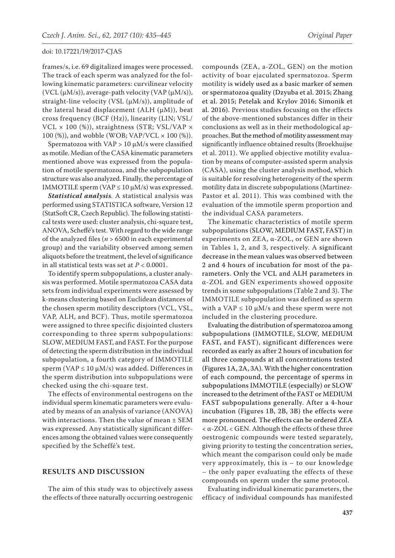frames/s, i.e. 69 digitalized images were processed. The track of each sperm was analyzed for the following kinematic parameters: curvilinear velocity (VCL  $(\mu M/s)$ ), average-path velocity (VAP  $(\mu M/s)$ ), straight-line velocity (VSL  $(\mu M/s)$ ), amplitude of the lateral head displacement (ALH  $(\mu M)$ ), beat cross frequency (BCF (Hz)), linearity (LIN; VSL/ VCL × 100 (%)), straightness (STR; VSL/VAP × 100 (%)), and wobble (WOB; VAP/VCL × 100 (%)).

Spermatozoa with  $VAP > 10 \mu M/s$  were classified as motile. Median of the CASA kinematic parameters mentioned above was expressed from the population of motile spermatozoa, and the subpopulation structure was also analyzed. Finally, the percentage of IMMOTILE sperm (VAP  $\leq$  10  $\mu$ M/s) was expressed.

*Statistical analysis.* A statistical analysis was performed using STATISTICA software, Version 12 (StatSoft CR, Czech Republic). The following statistical tests were used: cluster analysis, chi-square test, ANOVA, Scheffé's test. With regard to the wide range of the analyzed files (*n* > 6500 in each experimental group) and the variability observed among semen aliquots before the treatment, the level of significance in all statistical tests was set at  $P < 0.0001$ .

To identify sperm subpopulations, a cluster analysis was performed. Motile spermatozoa CASA data sets from individual experiments were assessed by k-means clustering based on Euclidean distances of the chosen sperm motility descriptors (VCL, VSL, VAP, ALH, and BCF). Thus, motile spermatozoa were assigned to three specific disjointed clusters corresponding to three sperm subpopulations: SLOW, MEDIUM FAST, and FAST. For the purpose of detecting the sperm distribution in the individual subpopulation, a fourth category of IMMOTILE sperm (VAP  $\leq$  10  $\mu$ M/s) was added. Differences in the sperm distribution into subpopulations were checked using the chi-square test.

The effects of environmental oestrogens on the individual sperm kinematic parameters were evaluated by means of an analysis of variance (ANOVA) with interactions. Then the value of mean ± SEM was expressed. Any statistically significant differences among the obtained values were consequently specified by the Scheffé's test.

## **RESULTS AND DISCUSSION**

The aim of this study was to objectively assess the effects of three naturally occurring oestrogenic

compounds (ZEA, a-ZOL, GEN) on the motion activity of boar ejaculated spermatozoa. Sperm motility is widely used as a basic marker of semen or spermatozoa quality (Dzyuba et al. 2015; Zhang et al. 2015; Petelak and Krylov 2016; Simonik et al. 2016). Previous studies focusing on the effects of the above-mentioned substances differ in their conclusions as well as in their methodological approaches. But the method of motility assessment may significantly influence obtained results (Broekhuijse et al. 2011). We applied objective motility evaluation by means of computer-assisted sperm analysis (CASA), using the cluster analysis method, which is suitable for resolving heterogeneity of the sperm motility data in discrete subpopulations (Martinez-Pastor et al. 2011). This was combined with the evaluation of the immotile sperm proportion and the individual CASA parameters.

The kinematic characteristics of motile sperm subpopulations (SLOW, MEDIUM FAST, FAST) in experiments on ZEA, α-ZOL, or GEN are shown in Tables 1, 2, and 3, respectively. A significant decrease in the mean values was observed between 2 and 4 hours of incubation for most of the parameters. Only the VCL and ALH parameters in α-ZOL and GEN experiments showed opposite trends in some subpopulations (Table 2 and 3). The IMMOTILE subpopulation was defined as sperm with a VAP  $\leq$  10  $\mu$ M/s and these sperm were not included in the clustering procedure.

Evaluating the distribution of spermatozoa among subpopulations (IMMOTILE, SLOW, MEDIUM FAST, and FAST), significant differences were recorded as early as after 2 hours of incubation for all three compounds at all concentrations tested (Figures 1A, 2A, 3A). With the higher concentration of each compound, the percentage of sperms in subpopulations IMMOTILE (especially) or SLOW increased to the detriment of the FAST or MEDIUM FAST subpopulations generally. After a 4-hour incubation (Figures 1B, 2B, 3B) the effects were more pronounced. The effects can be ordered ZEA < α-ZOL < GEN. Although the effects of these three oestrogenic compounds were tested separately, giving priority to testing the concentration series, which meant the comparison could only be made very approximately, this is – to our knowledge – the only paper evaluating the effects of these compounds on sperm under the same protocol.

Evaluating individual kinematic parameters, the efficacy of individual compounds has manifested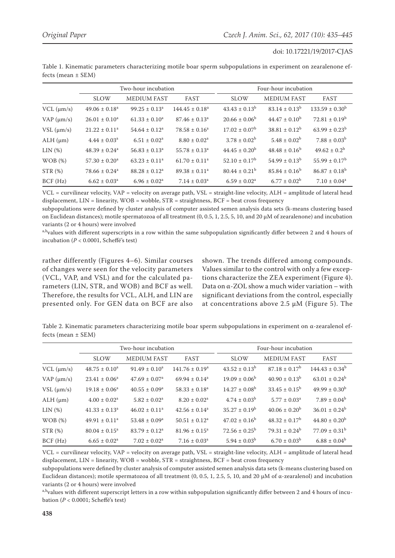|                    | Two-hour incubation           |                    |                               | Four-hour incubation     |                    |                           |  |
|--------------------|-------------------------------|--------------------|-------------------------------|--------------------------|--------------------|---------------------------|--|
|                    | <b>SLOW</b>                   | <b>MEDIUM FAST</b> | <b>FAST</b>                   | <b>SLOW</b>              | <b>MEDIUM FAST</b> | FAST                      |  |
| $VCL$ ( $\mu$ m/s) | $49.06 \pm 0.18^a$            | $99.25 \pm 0.13^a$ | $144.45 \pm 0.18^a$           | $43.43 \pm 0.13^b$       | $83.14 \pm 0.13^b$ | $133.59 \pm 0.30^{\circ}$ |  |
| VAP $(\mu m/s)$    | $26.01 \pm 0.10^a$            | $61.33 \pm 0.10^a$ | $87.46 \pm 0.13$ <sup>a</sup> | $20.66 \pm 0.06^{\circ}$ | $44.47 \pm 0.10^b$ | $72.81 \pm 0.19^b$        |  |
| $VSL$ ( $\mu$ m/s) | $21.22 \pm 0.11^a$            | $54.64 \pm 0.12^a$ | $78.58 \pm 0.16^a$            | $17.02 \pm 0.07^{\rm b}$ | $38.81 \pm 0.12^b$ | $63.99 \pm 0.23^b$        |  |
| $ALH$ ( $\mu$ m)   | $4.44 \pm 0.03^a$             | $6.51 \pm 0.02^a$  | $8.80 \pm 0.02^a$             | $3.78 \pm 0.02^b$        | $5.48 \pm 0.02^b$  | $7.88 \pm 0.03^b$         |  |
| LIN(%)             | $48.39 \pm 0.24^a$            | $56.83 \pm 0.13^a$ | $55.78 \pm 0.13^a$            | $44.45 \pm 0.20^b$       | $48.48 \pm 0.16^b$ | $49.62 \pm 0.2^b$         |  |
| WOB(%)             | $57.30 \pm 0.20^a$            | $63.23 \pm 0.11^a$ | $61.70 \pm 0.11^a$            | $52.10 \pm 0.17^{\rm b}$ | $54.99 \pm 0.13^b$ | $55.99 \pm 0.17^{\rm b}$  |  |
| STR(%)             | $78.66 \pm 0.24$ <sup>a</sup> | $88.28 \pm 0.12^a$ | $89.38 \pm 0.11^a$            | $80.44 \pm 0.21^b$       | $85.84 \pm 0.16^b$ | $86.87 \pm 0.18^b$        |  |
| BCF(Hz)            | $6.62 \pm 0.03$ <sup>a</sup>  | $6.96 \pm 0.02^a$  | $7.14 \pm 0.03^a$             | $6.59 \pm 0.02^a$        | $6.77 \pm 0.02^b$  | $7.10 \pm 0.04^a$         |  |

Table 1. Kinematic parameters characterizing motile boar sperm subpopulations in experiment on zearalenone effects (mean ± SEM)

VCL = curvilinear velocity, VAP = velocity on average path, VSL = straight-line velocity, ALH = amplitude of lateral head displacement,  $LIN = linearity$ ,  $WOB = wobble$ ,  $STR = straightness$ ,  $BCF = beat cross frequency$ 

subpopulations were defined by cluster analysis of computer assisted semen analysis data sets (k-means clustering based on Euclidean distances); motile spermatozoa of all treatment (0, 0.5, 1, 2.5, 5, 10, and 20 µM of zearalenone) and incubation variants (2 or 4 hours) were involved

a,bvalues with different superscripts in a row within the same subpopulation significantly differ between 2 and 4 hours of incubation (*P* < 0.0001, Scheffé's test)

rather differently (Figures 4–6). Similar courses of changes were seen for the velocity parameters (VCL, VAP, and VSL) and for the calculated parameters (LIN, STR, and WOB) and BCF as well. Therefore, the results for VCL, ALH, and LIN are presented only. For GEN data on BCF are also shown. The trends differed among compounds. Values similar to the control with only a few exceptions characterize the ZEA experiment (Figure 4). Data on α-ZOL show a much wider variation – with significant deviations from the control, especially at concentrations above 2.5 μM (Figure 5). The

Table 2. Kinematic parameters characterizing motile boar sperm subpopulations in experiment on α-zearalenol effects (mean ± SEM)

|                    | Two-hour incubation          |                               |                              | Four-hour incubation     |                          |                          |
|--------------------|------------------------------|-------------------------------|------------------------------|--------------------------|--------------------------|--------------------------|
|                    | <b>SLOW</b>                  | <b>MEDIUM FAST</b>            | <b>FAST</b>                  | <b>SLOW</b>              | <b>MEDIUM FAST</b>       | FAST                     |
| $VCL$ ( $\mu$ m/s) | $48.75 \pm 0.10^a$           | $91.49 \pm 0.10^a$            | $141.76 \pm 0.19^a$          | $43.52 \pm 0.13^b$       | $87.18 \pm 0.17^b$       | $144.43 \pm 0.34^b$      |
| $VAP$ ( $\mu$ m/s) | $23.41 \pm 0.06^a$           | $47.69 \pm 0.07$ <sup>a</sup> | $69.94 \pm 0.14^a$           | $19.09 \pm 0.06^{\circ}$ | $40.90 \pm 0.13^b$       | $63.01 \pm 0.24^b$       |
| $VSL$ ( $\mu$ m/s) | $19.18 \pm 0.06^a$           | $40.55 \pm 0.09^{\rm a}$      | $58.33 \pm 0.18^a$           | $14.27 \pm 0.08^{\rm b}$ | $33.45 \pm 0.15^{\rm b}$ | $49.99 \pm 0.30^{\rm b}$ |
| $ALH$ ( $\mu$ m)   | $4.00 \pm 0.02^a$            | $5.82 \pm 0.02^a$             | $8.20 \pm 0.02^a$            | $4.74 \pm 0.03^{\rm b}$  | $5.77 \pm 0.03^{\circ}$  | $7.89 \pm 0.04^b$        |
| LIN(%)             | $41.33 \pm 0.13^a$           | $46.02 \pm 0.11^a$            | $42.56 \pm 0.14^a$           | $35.27 \pm 0.19^b$       | $40.06 \pm 0.20^b$       | $36.01 \pm 0.24^b$       |
| WOB(%)             | $49.91 \pm 0.11^a$           | $53.48 \pm 0.09^a$            | $50.51 \pm 0.12^a$           | $47.02 \pm 0.16^b$       | $48.32 \pm 0.17^{\rm b}$ | $44.80 \pm 0.20^b$       |
| STR(%)             | $80.04 \pm 0.15^{\circ}$     | $83.79 \pm 0.12^a$            | $81.96 \pm 0.15^a$           | $72.56 \pm 0.25^{\rm b}$ | $79.31 \pm 0.24^b$       | $77.09 \pm 0.31^b$       |
| BCF(Hz)            | $6.65 \pm 0.02$ <sup>a</sup> | $7.02 \pm 0.02^a$             | $7.16 \pm 0.03$ <sup>a</sup> | $5.94 \pm 0.03^{\rm b}$  | $6.70 \pm 0.03^b$        | $6.88 \pm 0.04^b$        |

VCL = curvilinear velocity, VAP = velocity on average path, VSL = straight-line velocity, ALH = amplitude of lateral head displacement, LIN = linearity, WOB = wobble, STR = straightness, BCF = beat cross frequency

subpopulations were defined by cluster analysis of computer assisted semen analysis data sets (k-means clustering based on Euclidean distances); motile spermatozoa of all treatment  $(0, 0.5, 1, 2.5, 5, 10,$  and 20 μM of α-zearalenol) and incubation variants (2 or 4 hours) were involved

a,b<sub>values</sub> with different superscript letters in a row within subpopulation significantly differ between 2 and 4 hours of incubation (*P* < 0.0001; Scheffé's test)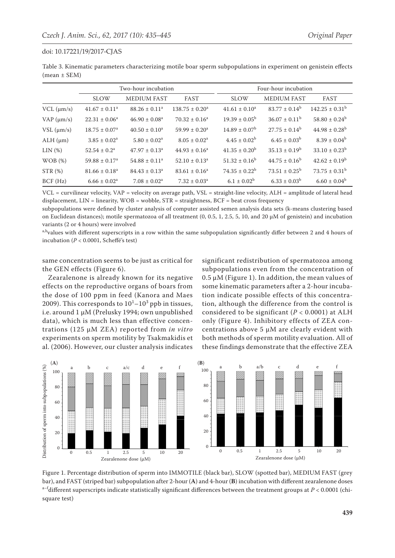| Table 3. Kinematic parameters characterizing motile boar sperm subpopulations in experiment on genistein effects |  |  |  |
|------------------------------------------------------------------------------------------------------------------|--|--|--|
| $mean \pm SEM$ )                                                                                                 |  |  |  |

|                    | Two-hour incubation         |                               |                     | Four-hour incubation     |                          |                                |  |
|--------------------|-----------------------------|-------------------------------|---------------------|--------------------------|--------------------------|--------------------------------|--|
|                    | <b>SLOW</b>                 | <b>MEDIUM FAST</b>            | FAST                | <b>SLOW</b>              | <b>MEDIUM FAST</b>       | FAST                           |  |
| $VCL$ ( $\mu$ m/s) | $41.67 \pm 0.11^a$          | $88.26 \pm 0.11^a$            | $138.75 \pm 0.20^a$ | $41.61 \pm 0.10^a$       | $83.77 \pm 0.14^b$       | $142.25 \pm 0.31^{\mathrm{b}}$ |  |
| VAP $(\mu m/s)$    | $22.31 \pm 0.06^a$          | $46.90 \pm 0.08^a$            | $70.32 \pm 0.16^a$  | $19.39 \pm 0.05^{\rm b}$ | $36.07 \pm 0.11^{\rm b}$ | $58.80 \pm 0.24^b$             |  |
| $VSL$ ( $\mu$ m/s) | $18.75 \pm 0.07^{\text{a}}$ | $40.50 \pm 0.10^a$            | $59.99 \pm 0.20^a$  | $14.89 \pm 0.07^{\rm b}$ | $27.75 \pm 0.14^b$       | $44.98 \pm 0.28^{\rm b}$       |  |
| $ALH$ ( $\mu$ m)   | $3.85 \pm 0.02^a$           | $5.80 \pm 0.02^a$             | $8.05 \pm 0.02^a$   | $4.45 \pm 0.02^{\rm b}$  | $6.45 \pm 0.03^{\rm b}$  | $8.39 \pm 0.04^b$              |  |
| LIN(%)             | $52.54 \pm 0.2^a$           | $47.97 \pm 0.13^{\circ}$      | $44.93 \pm 0.16^a$  | $41.35 \pm 0.20^b$       | $35.13 \pm 0.19^b$       | $33.10 \pm 0.23^b$             |  |
| WOB(%)             | $59.88 \pm 0.17^a$          | $54.88 \pm 0.11$ <sup>a</sup> | $52.10 \pm 0.13^a$  | $51.32 \pm 0.16^b$       | $44.75 \pm 0.16^b$       | $42.62 \pm 0.19^b$             |  |
| STR(%)             | $81.66 \pm 0.18^a$          | $84.43 \pm 0.13^a$            | $83.61 \pm 0.16^a$  | $74.35 \pm 0.22^b$       | $73.51 \pm 0.25^{\rm b}$ | $73.75 \pm 0.31^{\rm b}$       |  |
| BCF(Hz)            | $6.66 \pm 0.02^a$           | $7.08 \pm 0.02^a$             | $7.32 \pm 0.03^a$   | $6.1 \pm 0.02^b$         | $6.33 \pm 0.03^b$        | $6.60 \pm 0.04^b$              |  |

VCL = curvilinear velocity, VAP = velocity on average path, VSL = straight-line velocity, ALH = amplitude of lateral head displacement,  $LIN = linearity$ ,  $WOB = wobble$ ,  $STR = straightness$ ,  $BCF = beat cross frequency$ 

subpopulations were defined by cluster analysis of computer assisted semen analysis data sets (k-means clustering based on Euclidean distances); motile spermatozoa of all treatment  $(0, 0.5, 1, 2.5, 5, 10,$  and 20  $\mu$ M of genistein) and incubation variants (2 or 4 hours) were involved

a,bvalues with different superscripts in a row within the same subpopulation significantly differ between 2 and 4 hours of incubation (*P* < 0.0001, Scheffé's test)

same concentration seems to be just as critical for the GEN effects (Figure 6).

Zearalenone is already known for its negative effects on the reproductive organs of boars from the dose of 100 ppm in feed (Kanora and Maes 2009). This corresponds to  $10^{1}$ – $10^{3}$  ppb in tissues, i.e. around 1 μM (Prelusky 1994; own unpublished data), which is much less than effective concentrations (125 μM ZEA) reported from *in vitro* experiments on sperm motility by Tsakmakidis et al. (2006). However, our cluster analysis indicates

significant redistribution of spermatozoa among subpopulations even from the concentration of 0.5 μM (Figure 1). In addition, the mean values of some kinematic parameters after a 2-hour incubation indicate possible effects of this concentration, although the difference from the control is considered to be significant  $(P < 0.0001)$  at ALH only (Figure 4). Inhibitory effects of ZEA concentrations above 5 μM are clearly evident with both methods of sperm motility evaluation. All of these findings demonstrate that the effective ZEA



Figure 1. Percentage distribution of sperm into IMMOTILE (black bar), SLOW (spotted bar), MEDIUM FAST (grey bar), and FAST (striped bar) subpopulation after 2-hour (**A**) and 4-hour (**B**) incubation with different zearalenone doses  $a$ –f<sub>d</sub>ifferent superscripts indicate statistically significant differences between the treatment groups at  $P < 0.0001$  (chisquare test)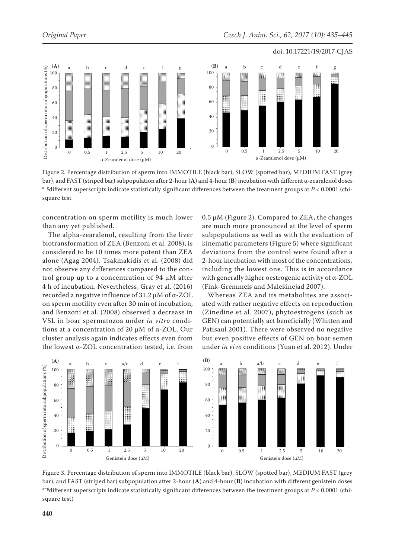

Figure 2. Percentage distribution of sperm into IMMOTILE (black bar), SLOW (spotted bar), MEDIUM FAST (grey bar), and FAST (striped bar) subpopulation after 2-hour (**A**) and 4-hour (**B**) incubation with different α-zearalenol doses  $a-g$ different superscripts indicate statistically significant differences between the treatment groups at  $P < 0.0001$  (chisquare test

concentration on sperm motility is much lower than any yet published.

The alpha-zearalenol, resulting from the liver biotransformation of ZEA (Benzoni et al. 2008), is considered to be 10 times more potent than ZEA alone (Agag 2004). Tsakmakidis et al. (2008) did not observe any differences compared to the control group up to a concentration of 94 μM after 4 h of incubation. Nevertheless, Gray et al. (2016) recorded a negative influence of 31.2 μM of α-ZOL on sperm motility even after 30 min of incubation, and Benzoni et al. (2008) observed a decrease in VSL in boar spermatozoa under *in vitro* conditions at a concentration of 20 μM of α-ZOL. Our cluster analysis again indicates effects even from the lowest α-ZOL concentration tested, i.e. from 0.5 μM (Figure 2). Compared to ZEA, the changes are much more pronounced at the level of sperm subpopulations as well as with the evaluation of kinematic parameters (Figure 5) where significant deviations from the control were found after a 2-hour incubation with most of the concentrations, including the lowest one. This is in accordance with generally higher oestrogenic activity of α-ZOL (Fink-Gremmels and Malekinejad 2007).

Whereas ZEA and its metabolites are associated with rather negative effects on reproduction (Zinedine et al. 2007), phytoestrogens (such as GEN) can potentially act beneficially (Whitten and Patisaul 2001). There were observed no negative but even positive effects of GEN on boar semen under *in vivo* conditions (Yuan et al. 2012). Under



Figure 3. Percentage distribution of sperm into IMMOTILE (black bar), SLOW (spotted bar), MEDIUM FAST (grey bar), and FAST (striped bar) subpopulation after 2-hour (**A**) and 4-hour (**B**) incubation with different genistein doses  $a$ <sup>-g</sup>different superscripts indicate statistically significant differences between the treatment groups at  $P < 0.0001$  (chisquare test)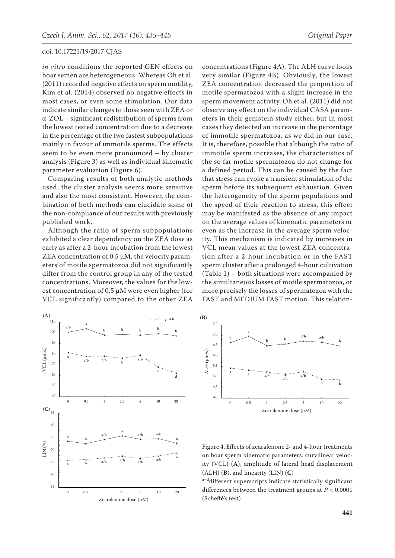*in vitro* conditions the reported GEN effects on boar semen are heterogeneous. Whereas Oh et al. (2011) recorded negative effects on sperm motility, Kim et al. (2014) observed no negative effects in most cases, or even some stimulation. Our data indicate similar changes to those seen with ZEA or α-ZOL – significant redistribution of sperms from the lowest tested concentration due to a decrease in the percentage of the two fastest subpopulations mainly in favour of immotile sperms. The effects seem to be even more pronounced – by cluster analysis (Figure 3) as well as individual kinematic parameter evaluation (Figure 6).

Comparing results of both analytic methods used, the cluster analysis seems more sensitive and also the most consistent. However, the combination of both methods can elucidate some of the non-compliance of our results with previously published work.

Although the ratio of sperm subpopulations exhibited a clear dependency on the ZEA dose as early as after a 2-hour incubation from the lowest ZEA concentration of  $0.5 \mu M$ , the velocity parameters of motile spermatozoa did not significantly differ from the control group in any of the tested concentrations. Moreover, the values for the lowest concentration of 0.5 μM were even higher (for VCL significantly) compared to the other ZEA

concentrations (Figure 4A). The ALH curve looks very similar (Figure 4B). Obviously, the lowest ZEA concentration decreased the proportion of motile spermatozoa with a slight increase in the sperm movement activity. Oh et al. (2011) did not observe any effect on the individual CASA parameters in their genistein study either, but in most cases they detected an increase in the percentage of immotile spermatozoa, as we did in our case. It is, therefore, possible that although the ratio of immotile sperm increases, the characteristics of the so far motile spermatozoa do not change for a defined period. This can be caused by the fact that stress can evoke a transient stimulation of the sperm before its subsequent exhaustion. Given the heterogeneity of the sperm populations and the speed of their reaction to stress, this effect may be manifested as the absence of any impact on the average values of kinematic parameters or even as the increase in the average sperm velocity. This mechanism is indicated by increases in VCL mean values at the lowest ZEA concentration after a 2-hour incubation or in the FAST sperm cluster after a prolonged 4-hour cultivation (Table 1) – both situations were accompanied by the simultaneous losses of motile spermatozoa, or more precisely the losses of spermatozoa with the FAST and MEDIUM FAST motion. This relation-





Figure 4. Effects of zearalenone 2- and 4-hour treatments on boar sperm kinematic parameters: curvilinear velocity (VCL) (**A**), amplitude of lateral head displacement (ALH) (**B**), and linearity (LIN) (**C**)

a-ddifferent superscripts indicate statistically significant differences between the treatment groups at *P* < 0.0001 (Scheff**é**'s test)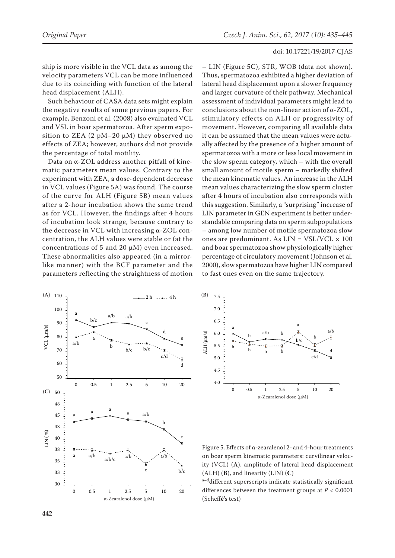ship is more visible in the VCL data as among the velocity parameters VCL can be more influenced due to its coinciding with function of the lateral head displacement (ALH).

Such behaviour of CASA data sets might explain the negative results of some previous papers. For example, Benzoni et al. (2008) also evaluated VCL and VSL in boar spermatozoa. After sperm exposition to ZEA  $(2 pM-20 \mu)$  they observed no effects of ZEA; however, authors did not provide the percentage of total motility.

Data on α-ZOL address another pitfall of kinematic parameters mean values. Contrary to the experiment with ZEA, a dose-dependent decrease in VCL values (Figure 5A) was found. The course of the curve for ALH (Figure 5B) mean values after a 2-hour incubation shows the same trend as for VCL. However, the findings after 4 hours of incubation look strange, because contrary to the decrease in VCL with increasing α-ZOL concentration, the ALH values were stable or (at the concentrations of 5 and 20 μM) even increased. These abnormalities also appeared (in a mirrorlike manner) with the BCF parameter and the parameters reflecting the straightness of motion

– LIN (Figure 5C), STR, WOB (data not shown). Thus, spermatozoa exhibited a higher deviation of lateral head displacement upon a slower frequency and larger curvature of their pathway. Mechanical assessment of individual parameters might lead to conclusions about the non-linear action of α-ZOL, stimulatory effects on ALH or progressivity of movement. However, comparing all available data it can be assumed that the mean values were actually affected by the presence of a higher amount of spermatozoa with a more or less local movement in the slow sperm category, which – with the overall small amount of motile sperm – markedly shifted the mean kinematic values. An increase in the ALH mean values characterizing the slow sperm cluster after 4 hours of incubation also corresponds with this suggestion. Similarly, a "surprising" increase of LIN parameter in GEN experiment is better understandable comparing data on sperm subpopulations – among low number of motile spermatozoa slow ones are predominant. As  $LIN = VSL/VCL \times 100$ and boar spermatozoa show physiologically higher percentage of circulatory movement (Johnson et al. 2000), slow spermatozoa have higher LIN compared to fast ones even on the same trajectory.





Figure 5. Effects of α-zearalenol 2- and 4-hour treatments on boar sperm kinematic parameters: curvilinear velocity (VCL) (**A**), amplitude of lateral head displacement (ALH) (**B**), and linearity (LIN) (**C**)

a-ddifferent superscripts indicate statistically significant differences between the treatment groups at *P* < 0.0001 (Scheff**é**'s test)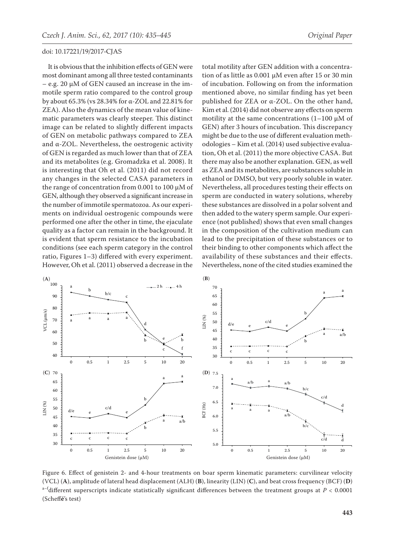It is obvious that the inhibition effects of GEN were most dominant among all three tested contaminants – e.g. 20 μM of GEN caused an increase in the immotile sperm ratio compared to the control group by about 65.3% (vs 28.34% for α-ZOL and 22.81% for ZEA). Also the dynamics of the mean value of kinematic parameters was clearly steeper. This distinct image can be related to slightly different impacts of GEN on metabolic pathways compared to ZEA and α-ZOL. Nevertheless, the oestrogenic activity of GEN is regarded as much lower than that of ZEA and its metabolites (e.g. Gromadzka et al. 2008). It is interesting that Oh et al. (2011) did not record any changes in the selected CASA parameters in the range of concentration from 0.001 to 100 μM of GEN, although they observed a significant increase in the number of immotile spermatozoa. As our experiments on individual oestrogenic compounds were performed one after the other in time, the ejaculate quality as a factor can remain in the background. It is evident that sperm resistance to the incubation conditions (see each sperm category in the control ratio, Figures 1–3) differed with every experiment. However, Oh et al. (2011) observed a decrease in the

total motility after GEN addition with a concentration of as little as 0.001 μM even after 15 or 30 min of incubation. Following on from the information mentioned above, no similar finding has yet been published for ZEA or α-ZOL. On the other hand, Kim et al. (2014) did not observe any effects on sperm motility at the same concentrations  $(1-100 \mu M)$ GEN) after 3 hours of incubation. This discrepancy might be due to the use of different evaluation methodologies – Kim et al. (2014) used subjective evaluation, Oh et al. (2011) the more objective CASA. But there may also be another explanation. GEN, as well as ZEA and its metabolites, are substances soluble in ethanol or DMSO, but very poorly soluble in water. Nevertheless, all procedures testing their effects on sperm are conducted in watery solutions, whereby these substances are dissolved in a polar solvent and then added to the watery sperm sample. Our experience (not published) shows that even small changes in the composition of the cultivation medium can lead to the precipitation of these substances or to their binding to other components which affect the availability of these substances and their effects. Nevertheless, none of the cited studies examined the

![](_page_8_Figure_4.jpeg)

Figure 6. Effect of genistein 2- and 4-hour treatments on boar sperm kinematic parameters: curvilinear velocity (VCL) (**A**), amplitude of lateral head displacement (ALH) (**B**), linearity (LIN) (**C**), and beat cross frequency (BCF) (**D**) a–fdifferent superscripts indicate statistically significant differences between the treatment groups at  $P < 0.0001$ (Scheff**é**'s test)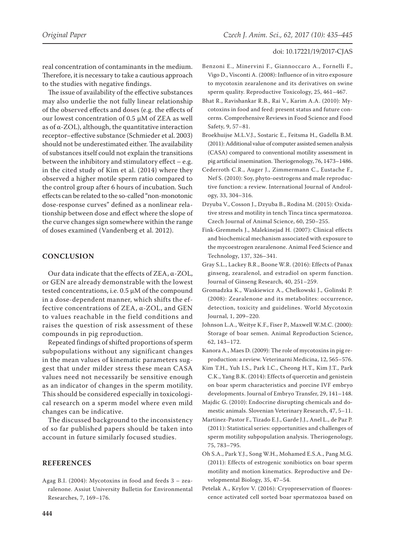real concentration of contaminants in the medium. Therefore, it is necessary to take a cautious approach to the studies with negative findings.

The issue of availability of the effective substances may also underlie the not fully linear relationship of the observed effects and doses (e.g. the effects of our lowest concentration of 0.5 μM of ZEA as well as of α-ZOL), although, the quantitative interaction receptor–effective substance (Schmieder et al. 2003) should not be underestimated either. The availability of substances itself could not explain the transitions between the inhibitory and stimulatory effect  $-$  e.g. in the cited study of Kim et al. (2014) where they observed a higher motile sperm ratio compared to the control group after 6 hours of incubation. Such effects can be related to the so-called "non-monotonic dose-response curves" defined as a nonlinear relationship between dose and effect where the slope of the curve changes sign somewhere within the range of doses examined (Vandenberg et al. 2012).

# **CONCLUSION**

Our data indicate that the effects of ZEA, α-ZOL, or GEN are already demonstrable with the lowest tested concentrations, i.e. 0.5 μM of the compound in a dose-dependent manner, which shifts the effective concentrations of ZEA, α-ZOL, and GEN to values reachable in the field conditions and raises the question of risk assessment of these compounds in pig reproduction.

Repeated findings of shifted proportions of sperm subpopulations without any significant changes in the mean values of kinematic parameters suggest that under milder stress these mean CASA values need not necessarily be sensitive enough as an indicator of changes in the sperm motility. This should be considered especially in toxicological research on a sperm model where even mild changes can be indicative.

The discussed background to the inconsistency of so far published papers should be taken into account in future similarly focused studies.

# **REFERENCES**

Agag B.I. (2004): Mycotoxins in food and feeds 3 – zearalenone. Assiut University Bulletin for Environmental Researches, 7, 169–176.

- Benzoni E., Minervini F., Giannoccaro A., Fornelli F., Vigo D., Visconti A. (2008): Influence of in vitro exposure to mycotoxin zearalenone and its derivatives on swine sperm quality. Reproductive Toxicology, 25, 461–467.
- Bhat R., Ravishankar R.B., Rai V., Karim A.A. (2010): Mycotoxins in food and feed: present status and future concerns. Comprehensive Reviews in Food Science and Food Safety, 9, 57–81.
- Broekhuijse M.L.V.J., Sostaric E., Feitsma H., Gadella B.M. (2011): Additional value of computer assisted semen analysis (CASA) compared to conventional motility assessment in pig artificial insemination. Theriogenology, 76, 1473–1486.
- Cederroth C.R., Auger J., Zimmermann C., Eustache F., Nef S. (2010): Soy, phyto-oestrogens and male reproductive function: a review. International Journal of Andrology, 33, 304–316.
- Dzyuba V., Cosson J., Dzyuba B., Rodina M. (2015): Oxidative stress and motility in tench Tinca tinca spermatozoa. Czech Journal of Animal Science, 60, 250–255.
- Fink-Gremmels J., Malekinejad H. (2007): Clinical effects and biochemical mechanism associated with exposure to the mycoestrogen zearalenone. Animal Feed Science and Technology, 137, 326–341.
- Gray S.L., Lackey B.R., Boone W.R. (2016): Effects of Panax ginseng, zearalenol, and estradiol on sperm function. Journal of Ginseng Research, 40, 251–259.
- Gromadzka K., Waskiewicz A., Chelkowski J., Golinski P. (2008): Zearalenone and its metabolites: occurrence, detection, toxicity and guidelines. World Mycotoxin Journal, 1, 209–220.
- Johnson L.A., Weitye K.F., Fiser P., Maxwell W.M.C. (2000): Storage of boar semen. Animal Reproduction Science, 62, 143–172.
- Kanora A., Maes D. (2009): The role of mycotoxins in pig reproduction: a review. Veterinarni Medicina, 12, 565–576.
- Kim T.H., Yuh I.S., Park I.C., Cheong H.T., Kim J.T., Park C.K., Yang B.K. (2014): Effects of quercetin and genistein on boar sperm characteristics and porcine IVF embryo developments. Journal of Embryo Transfer, 29, 141–148.
- Majdic G. (2010): Endocrine disrupting chemicals and domestic animals. Slovenian Veterinary Research, 47, 5–11.
- Martinez-Pastor F., Tizado E.J., Garde J.J., Anel L., de Paz P. (2011): Statistical series: opportunities and challenges of sperm motility subpopulation analysis. Theriogenology, 75, 783–795.
- Oh S.A., Park Y.J., Song W.H., Mohamed E.S.A., Pang M.G. (2011): Effects of estrogenic xonibiotics on boar sperm motility and motion kinematics. Reproductive and Developmental Biology, 35, 47–54.
- Petelak A., Krylov V. (2016): Cryopreservation of fluorescence activated cell sorted boar spermatozoa based on